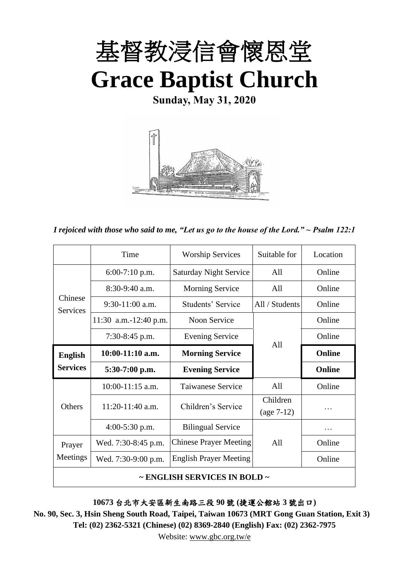

**Sunday, May 31, 2020**



*I rejoiced with those who said to me, "Let us go to the house of the Lord." ~ Psalm 122:1*

|                                        | Time                  | <b>Worship Services</b>       | Suitable for             | Location |
|----------------------------------------|-----------------------|-------------------------------|--------------------------|----------|
|                                        | $6:00-7:10$ p.m.      | <b>Saturday Night Service</b> | All                      | Online   |
|                                        | $8:30-9:40$ a.m.      | Morning Service               | All                      | Online   |
| Chinese<br><b>Services</b>             | $9:30-11:00$ a.m.     | Students' Service             | All / Students           | Online   |
|                                        | 11:30 a.m.-12:40 p.m. | Noon Service                  |                          | Online   |
|                                        | $7:30-8:45$ p.m.      | <b>Evening Service</b>        |                          | Online   |
| <b>English</b>                         | $10:00-11:10$ a.m.    | <b>Morning Service</b>        | A11                      | Online   |
| <b>Services</b>                        | $5:30-7:00$ p.m.      | <b>Evening Service</b>        |                          | Online   |
|                                        | $10:00-11:15$ a.m.    | Taiwanese Service             | All                      | Online   |
| Others                                 | 11:20-11:40 a.m.      | Children's Service            | Children<br>$(age 7-12)$ | .        |
|                                        | 4:00-5:30 p.m.        | <b>Bilingual Service</b>      |                          | .        |
| Prayer                                 | Wed. 7:30-8:45 p.m.   | <b>Chinese Prayer Meeting</b> | All                      | Online   |
| Meetings                               | Wed. 7:30-9:00 p.m.   | <b>English Prayer Meeting</b> |                          | Online   |
| $\sim$ ENGLISH SERVICES IN BOLD $\sim$ |                       |                               |                          |          |

**10673** 台北市大安區新生南路三段 **90** 號 **(**捷運公館站 **3** 號出口**)**

**No. 90, Sec. 3, Hsin Sheng South Road, Taipei, Taiwan 10673 (MRT Gong Guan Station, Exit 3) Tel: (02) 2362-5321 (Chinese) (02) 8369-2840 (English) Fax: (02) 2362-7975**

Website: www.gbc.org.tw/e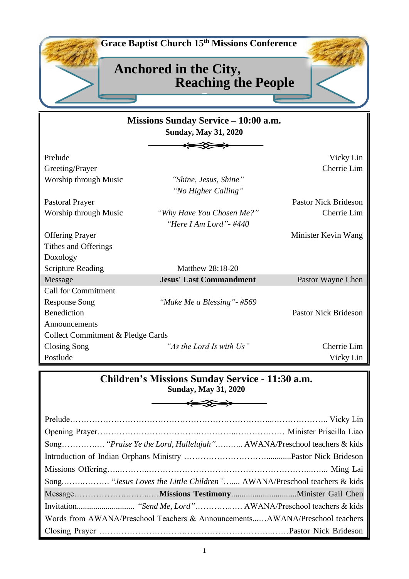

# **Children's Missions Sunday Service - 11:30 a.m.**

**Sunday, May 31, 2020** 

|  | Words from AWANA/Preschool Teachers & AnnouncementsAWANA/Preschool teachers |
|--|-----------------------------------------------------------------------------|
|  |                                                                             |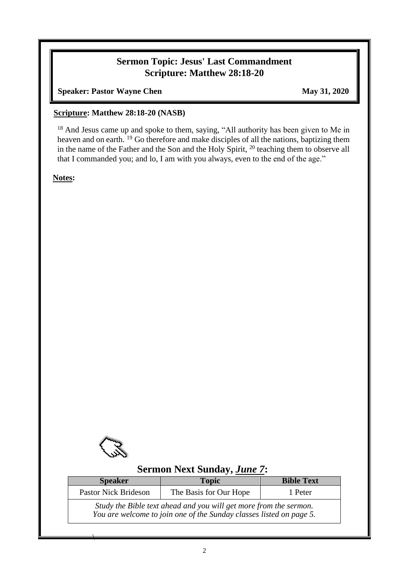## **Sermon Topic: Jesus' Last Commandment Scripture: Matthew 28:18-20**

**Speaker: Pastor Wayne Chen** May 31, 2020

#### **Scripture: Matthew 28:18-20 (NASB)**

<sup>18</sup> And Jesus came up and spoke to them, saying, "All authority has been given to Me in heaven and on earth. <sup>19</sup> Go therefore and make disciples of all the nations, baptizing them in the name of the Father and the Son and the Holy Spirit, <sup>20</sup> teaching them to observe all that I commanded you; and lo, I am with you always, even to the end of the age."

**Notes:**



 $\overline{\phantom{a}}$ 

## **Sermon Next Sunday,** *June 7***:**

| <b>Speaker</b>                                                                                                                           | <b>Topic</b>           | <b>Bible Text</b> |  |  |  |
|------------------------------------------------------------------------------------------------------------------------------------------|------------------------|-------------------|--|--|--|
| <b>Pastor Nick Brideson</b>                                                                                                              | The Basis for Our Hope | 1 Peter           |  |  |  |
| Study the Bible text ahead and you will get more from the sermon.<br>You are welcome to join one of the Sunday classes listed on page 5. |                        |                   |  |  |  |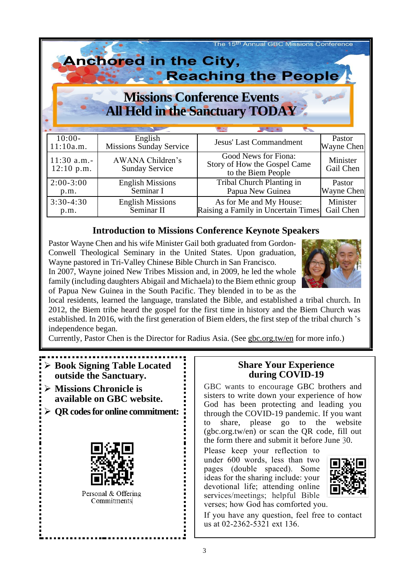| The 15 <sup>th</sup> Annual GBC Missions Conference<br><b>Anchored in the City,</b><br>Reaching the People<br><b>Missions Conference Events</b><br><b>All Held in the Sanctuary TODAY</b> |                                           |                                                                            |                       |  |  |
|-------------------------------------------------------------------------------------------------------------------------------------------------------------------------------------------|-------------------------------------------|----------------------------------------------------------------------------|-----------------------|--|--|
|                                                                                                                                                                                           |                                           |                                                                            |                       |  |  |
| $10:00-$                                                                                                                                                                                  | English                                   | <b>Jesus' Last Commandment</b>                                             | Pastor                |  |  |
| 11:10a.m.                                                                                                                                                                                 | <b>Missions Sunday Service</b>            |                                                                            | Wayne Chen            |  |  |
| $11:30$ a.m.-<br>$12:10$ p.m.                                                                                                                                                             | AWANA Children's<br><b>Sunday Service</b> | Good News for Fiona:<br>Story of How the Gospel Came<br>to the Biem People | Minister<br>Gail Chen |  |  |
| $2:00-3:00$                                                                                                                                                                               | <b>English Missions</b>                   | Tribal Church Planting in                                                  | Pastor                |  |  |
| p.m.                                                                                                                                                                                      | Seminar I                                 | Papua New Guinea                                                           | Wayne Chen            |  |  |
| $3:30-4:30$                                                                                                                                                                               | <b>English Missions</b>                   | As for Me and My House:                                                    | Minister              |  |  |
| p.m.                                                                                                                                                                                      | Seminar II                                | Raising a Family in Uncertain Times                                        | Gail Chen             |  |  |

### **Introduction to Missions Conference Keynote Speakers**

Pastor Wayne Chen and his wife Minister Gail both graduated from Gordon-Conwell Theological Seminary in the United States. Upon graduation, Wayne pastored in Tri-Valley Chinese Bible Church in San Francisco. In 2007, Wayne joined New Tribes Mission and, in 2009, he led the whole



family (including daughters Abigail and Michaela) to the Biem ethnic group of Papua New Guinea in the South Pacific. They blended in to be as the local residents, learned the language, translated the Bible, and established a tribal church. In 2012, the Biem tribe heard the gospel for the first time in history and the Biem Church was

established. In 2016, with the first generation of Biem elders, the first step of the tribal church 's independence began.

Currently, Pastor Chen is the Director for Radius Asia. (See gbc.org.tw/en for more info.)

- ➢ **Book Signing Table Located outside the Sanctuary.**
- ➢ **Missions Chronicle is available on GBC website.**
- ➢ **QR codesfor online commitment:**



Personal & Offering Commitments

### **Share Your Experience during COVID-19**

GBC wants to encourage GBC brothers and sisters to write down your experience of how God has been protecting and leading you through the COVID-19 pandemic. If you want to share, please go to the website (gbc.org.tw/en) or scan the QR code, fill out the form there and submit it before June 30.

Please keep your reflection to under 600 words, less than two pages (double spaced). Some ideas for the sharing include: your devotional life; attending online services/meetings; helpful Bible verses; how God has comforted you.



If you have any question, feel free to contact us at 02-2362-5321 ext 136.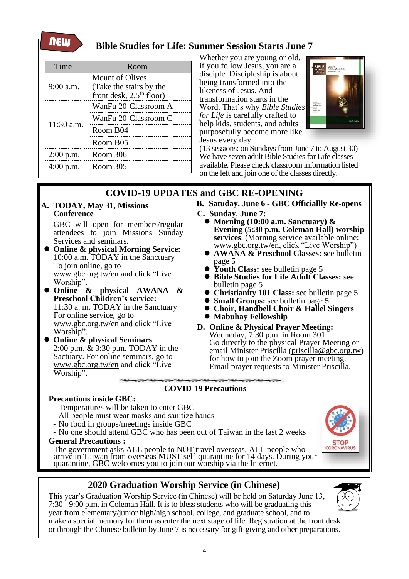new

## **Bible Studies for Life: Summer Session Starts June 7**

| Time         | Room                                                                            |  |
|--------------|---------------------------------------------------------------------------------|--|
| $9:00$ a.m.  | <b>Mount of Olives</b><br>(Take the stairs by the<br>front desk, $2.5th$ floor) |  |
|              | WanFu 20-Classroom A                                                            |  |
| $11:30$ a.m. | WanFu 20-Classroom C                                                            |  |
|              | Room B04                                                                        |  |
|              | Room B <sub>05</sub>                                                            |  |
| $2:00$ p.m.  | Room 306                                                                        |  |
| $4:00$ p.m.  | Room 305                                                                        |  |

Whether you are young or old, if you follow Jesus, you are a disciple. Discipleship is about being transformed into the likeness of Jesus. And transformation starts in the Word. That's why *Bible Studies for Life* is carefully crafted to help kids, students, and adults purposefully become more like Jesus every day.



(13 sessions: on Sundays from June 7 to August 30) We have seven adult Bible Studies for Life classes available. Please check classroom information listed on the left and join one of the classes directly.

# **COVID-19 UPDATES and GBC RE-OPENING**

**A. TODAY, May 31, Missions Conference**

> GBC will open for members/regular attendees to join Missions Sunday Services and seminars.

- ⚫ **Online & physical Morning Service:**  10:00 a.m. TODAY in the Sanctuary To join online, go to [www.gbc.org.tw/en](http://www.gbc.org.tw/en) and click "Live Worship".
- ⚫ **Online & physical AWANA & Preschool Children's service:** 11:30 a. m. TODAY in the Sanctuary For online service, go to [www.gbc.org.tw/en](http://www.gbc.org.tw/en) and click "Live Worship".
- ⚫ **Online & physical Seminars** 2:00 p.m. & 3:30 p.m. TODAY in the Sactuary. For online seminars, go to [www.gbc.org.tw/en](http://www.gbc.org.tw/en) and click "Live Worship".
- **B. Satuday, June 6 - GBC Officiallly Re-opens**
- **C. Sunday**, **June 7:**
	- ⚫ **Morning (10:00 a.m. Sanctuary) & Evening (5:30 p.m. Coleman Hall) worship services**. (Morning service available online: [www.gbc.org.tw/en,](http://www.gbc.org.tw/en) click "Live Worship")
	- ⚫ **AWANA & Preschool Classes: s**ee bulletin page 5
	- Youth Class: see bulletin page 5
	- ⚫ **Bible Studies for Life Adult Classes:** see bulletin page 5
	- ⚫ **Christianity 101 Class:** see bulletin page 5
	- ⚫ **Small Groups:** see bulletin page 5
	- ⚫ **Choir, Handbell Choir & Hallel Singers** ⚫ **Mabuhay Fellowship**
- **D. Online & Physical Prayer Meeting:** Wedneday, 7:30 p.m. in Room 301 Go directly to the physical Prayer Meeting or email Minister Priscilla [\(priscilla@gbc.org.tw\)](mailto:priscilla@gbc.org.tw) for how to join the Zoom prayer meeting. Email prayer requests to Minister Priscilla.

### **COVID-19 Precautions**

#### **Precautions inside GBC:**

- Temperatures will be taken to enter GBC
- All people must wear masks and sanitize hands
- No food in groups/meetings inside GBC
- No one should attend GBC who has been out of Taiwan in the last 2 weeks

**General Precautions :** 

The government asks ALL people to NOT travel overseas. ALL people who arrive in Taiwan from overseas MUST self-quarantine for 14 days. During your quarantine, GBC welcomes you to join our worship via the Internet.

## **2020 Graduation Worship Service (in Chinese)**

This year's Graduation Worship Service (in Chinese) will be held on Saturday June 13, 7:30 - 9:00 p.m. in Coleman Hall. It is to bless students who will be graduating this year from elementary/junior high/high school, college, and graduate school, and to make a special memory for them as enter the next stage of life. Registration at the front desk or through the Chinese bulletin by June 7 is necessary for gift-giving and other preparations.



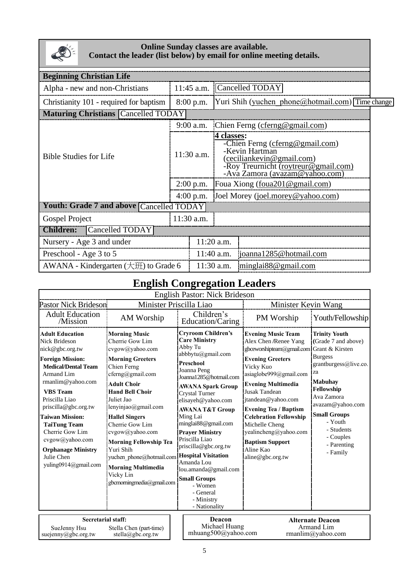

#### **Online Sunday classes are available. Contact the leader (list below) by email for online meeting details.**

| <b>Beginning Christian Life</b>                     |                                               |                                                                                                                                      |                                          |                                                                                                                                                        |  |  |
|-----------------------------------------------------|-----------------------------------------------|--------------------------------------------------------------------------------------------------------------------------------------|------------------------------------------|--------------------------------------------------------------------------------------------------------------------------------------------------------|--|--|
| Alpha - new and non-Christians                      |                                               |                                                                                                                                      |                                          |                                                                                                                                                        |  |  |
|                                                     |                                               |                                                                                                                                      |                                          |                                                                                                                                                        |  |  |
| ΑY                                                  |                                               |                                                                                                                                      |                                          |                                                                                                                                                        |  |  |
|                                                     | Chien Ferng (cferng@gmail.com)<br>$9:00$ a.m. |                                                                                                                                      |                                          |                                                                                                                                                        |  |  |
| $11:30$ a.m.                                        |                                               | 4 classes:<br>-Chien Ferng (cferng@gmail.com)<br>-Kevin Hartman<br>(ceciliankevin@gmail.com)<br>-Roy Treurnicht (roytreur@gmail.com) |                                          |                                                                                                                                                        |  |  |
| $2:00$ p.m.                                         |                                               | Foua Xiong (foua201@gmail.com)                                                                                                       |                                          |                                                                                                                                                        |  |  |
| $4:00$ p.m.                                         |                                               | Joel Morey (joel.morey@yahoo.com)                                                                                                    |                                          |                                                                                                                                                        |  |  |
|                                                     |                                               |                                                                                                                                      |                                          |                                                                                                                                                        |  |  |
| 11:30 a.m.                                          |                                               |                                                                                                                                      |                                          |                                                                                                                                                        |  |  |
| Cancelled TODAY<br><b>Children:</b>                 |                                               |                                                                                                                                      |                                          |                                                                                                                                                        |  |  |
| Nursery - Age 3 and under                           |                                               |                                                                                                                                      |                                          |                                                                                                                                                        |  |  |
| Preschool - Age 3 to 5                              |                                               |                                                                                                                                      |                                          |                                                                                                                                                        |  |  |
| AWANA - Kindergarten $(\pm \mathcal{H})$ to Grade 6 |                                               |                                                                                                                                      |                                          |                                                                                                                                                        |  |  |
|                                                     | <b>Maturing Christians Cancelled TOD</b>      | 11:45 a.m.<br>8:00 p.m.<br>Youth: Grade 7 and above Cancelled TODAY                                                                  | 11:20 a.m.<br>11:40 a.m.<br>$11:30$ a.m. | Cancelled TODAY<br>Yuri Shih (yuchen phone@hotmail.com) Time change<br>-Ava Zamora (avazam@yahoo.com)<br>joanna1285@hotmail.com<br>minglai88@gmail.com |  |  |

# **English Congregation Leaders**

| English Pastor: Nick Brideson                                                                                                                                                                                                                                                                                                                                                        |                                                                                                                                                                                                                                                                                                                                                                                                                               |                                                                                                                                                                                                                                                                                                                                                                                                                                                                                                           |                                                                                                                                                                                                                                                                                                                                                                                                                     |                                                                                                                                                                                                                                                        |  |  |
|--------------------------------------------------------------------------------------------------------------------------------------------------------------------------------------------------------------------------------------------------------------------------------------------------------------------------------------------------------------------------------------|-------------------------------------------------------------------------------------------------------------------------------------------------------------------------------------------------------------------------------------------------------------------------------------------------------------------------------------------------------------------------------------------------------------------------------|-----------------------------------------------------------------------------------------------------------------------------------------------------------------------------------------------------------------------------------------------------------------------------------------------------------------------------------------------------------------------------------------------------------------------------------------------------------------------------------------------------------|---------------------------------------------------------------------------------------------------------------------------------------------------------------------------------------------------------------------------------------------------------------------------------------------------------------------------------------------------------------------------------------------------------------------|--------------------------------------------------------------------------------------------------------------------------------------------------------------------------------------------------------------------------------------------------------|--|--|
| <b>Pastor Nick Brideson</b>                                                                                                                                                                                                                                                                                                                                                          |                                                                                                                                                                                                                                                                                                                                                                                                                               | Minister Priscilla Liao                                                                                                                                                                                                                                                                                                                                                                                                                                                                                   | Minister Kevin Wang                                                                                                                                                                                                                                                                                                                                                                                                 |                                                                                                                                                                                                                                                        |  |  |
| <b>Adult Education</b><br>/Mission                                                                                                                                                                                                                                                                                                                                                   | AM Worship                                                                                                                                                                                                                                                                                                                                                                                                                    | Children's<br>Education/Caring                                                                                                                                                                                                                                                                                                                                                                                                                                                                            | PM Worship                                                                                                                                                                                                                                                                                                                                                                                                          | Youth/Fellowship                                                                                                                                                                                                                                       |  |  |
| <b>Adult Education</b><br><b>Nick Brideson</b><br>nick@gbc.org.tw<br><b>Foreign Mission:</b><br><b>Medical/Dental Team</b><br>Armand Lim<br>rmanlim@yahoo.com<br><b>VBS</b> Team<br>Priscilla Liao<br>priscilla@gbc.org.tw<br><b>Taiwan Mission:</b><br><b>TaiTung Team</b><br>Cherrie Gow Lim<br>cvgow@yahoo.com<br><b>Orphanage Ministry</b><br>Julie Chen<br>yuling0914@gmail.com | <b>Morning Music</b><br>Cherrie Gow Lim<br>cvgow@yahoo.com<br><b>Morning Greeters</b><br>Chien Ferng<br>cferng@gmail.com<br><b>Adult Choir</b><br><b>Hand Bell Choir</b><br>Juliet Jao<br>lenyinjao@gmail.com<br><b>Hallel Singers</b><br>Cherrie Gow Lim<br>cvgow@yahoo.com<br><b>Morning Fellowship Tea</b><br>Yuri Shih<br>yuchen phone@hotmail.com<br><b>Morning Multimedia</b><br>Vicky Lin<br>gbcmorningmedia@gmail.com | <b>Cryroom Children's</b><br><b>Care Ministry</b><br>Abby Tu<br>abbbytu@gmail.com<br>Preschool<br>Joanna Peng<br>Joanna1285@hotmail.com<br><b>AWANA Spark Group</b><br><b>Crystal Turner</b><br>elisayeh@yahoo.com<br><b>AWANA T&amp;T Group</b><br>Ming Lai<br>minglai88@gmail.com<br><b>Prayer Ministry</b><br>Priscilla Liao<br>priscilla@gbc.org.tw<br><b>Hospital Visitation</b><br>Amanda Lou<br>lou.amanda@gmail.com<br><b>Small Groups</b><br>- Women<br>- General<br>- Ministry<br>- Nationality | <b>Evening Music Team</b><br>Alex Chen /Renee Yang<br>gbceworshipteam@gmail.com Grant & Kirsten<br><b>Evening Greeters</b><br>Vicky Kuo<br>asiaglobe999@gmail.com<br><b>Evening Multimedia</b><br><b>Jusak Tandean</b><br>jtandean@yahoo.com<br><b>Evening Tea / Baptism</b><br><b>Celebration Fellowship</b><br>Michelle Cheng<br>yealincheng@yahoo.com<br><b>Baptism Support</b><br>Aline Kao<br>aline@gbc.org.tw | <b>Trinity Youth</b><br>(Grade 7 and above)<br><b>Burgess</b><br>grantburgess@live.co.<br>za<br><b>Mabuhay</b><br>Fellowship<br>Ava Zamora<br>avazam@yahoo.com<br><b>Small Groups</b><br>- Youth<br>- Students<br>- Couples<br>- Parenting<br>- Family |  |  |
| <b>Secretarial staff:</b><br>SueJenny Hsu<br>Stella Chen (part-time)<br>suejenny@gbc.org.tw<br>stella@gbc.org.tw                                                                                                                                                                                                                                                                     |                                                                                                                                                                                                                                                                                                                                                                                                                               | Deacon<br>Michael Huang<br>mhuang500@yahoo.com                                                                                                                                                                                                                                                                                                                                                                                                                                                            |                                                                                                                                                                                                                                                                                                                                                                                                                     | <b>Alternate Deacon</b><br>Armand Lim<br>rmanlim@yahoo.com                                                                                                                                                                                             |  |  |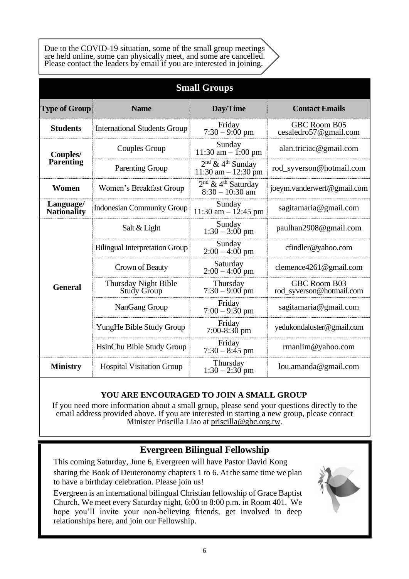Due to the COVID-19 situation, some of the small group meetings are held online, some can physically meet, and some are cancelled. Please contact the leaders by email if you are interested in joining.

| <b>Small Groups</b>             |                                            |                                                         |                                          |  |  |
|---------------------------------|--------------------------------------------|---------------------------------------------------------|------------------------------------------|--|--|
| <b>Type of Group</b>            | <b>Name</b>                                | Day/Time                                                | <b>Contact Emails</b>                    |  |  |
| <b>Students</b>                 | <b>International Students Group</b>        | Friday<br>$7:30 - 9:00 \text{ pm}$                      | GBC Room B05<br>cesaledro57@gmail.com    |  |  |
| Couples/                        | Couples Group                              | Sunday<br>$11:30$ am $- 1:00$ pm                        | alan.triciac@gmail.com                   |  |  |
| Parenting                       | <b>Parenting Group</b>                     | $2nd$ & 4 <sup>th</sup> Sunday<br>11:30 am $- 12:30$ pm | rod_syverson@hotmail.com                 |  |  |
| Women                           | Women's Breakfast Group                    | $2nd$ & 4 <sup>th</sup> Saturday<br>$8:30 - 10:30$ am   | joeym.vanderwerf@gmail.com               |  |  |
| Language/<br><b>Nationality</b> | <b>Indonesian Community Group</b>          | Sunday<br>$11:30$ am $- 12:45$ pm                       | sagitamaria@gmail.com                    |  |  |
|                                 | Salt & Light                               | Sunday<br>$1:30 - 3:00$ pm                              | paulhan2908@gmail.com                    |  |  |
|                                 | <b>Bilingual Interpretation Group</b>      | Sunday<br>$2:00 - 4:00 \text{ pm}$                      | cfindler@yahoo.com                       |  |  |
|                                 | Crown of Beauty                            | Saturday<br>$2:00 - 4:00$ pm                            | clemence $4261@$ gmail.com               |  |  |
| <b>General</b>                  | Thursday Night Bible<br><b>Study Group</b> | Thursday<br>$7:30 - 9:00$ pm                            | GBC Room B03<br>rod_syverson@hotmail.com |  |  |
|                                 | NanGang Group                              | Friday<br>$7:00 - 9:30$ pm                              | sagitamaria@gmail.com                    |  |  |
|                                 | YungHe Bible Study Group                   | Friday<br>$7:00-8:30$ pm                                | yedukondaluster@gmail.com                |  |  |
|                                 | HsinChu Bible Study Group                  | Friday<br>$7:30 - 8:45$ pm                              | $r$ manlim@yahoo.com                     |  |  |
| <b>Ministry</b>                 | <b>Hospital Visitation Group</b>           | Thursday<br>$1:30 - 2:30$ pm                            | lou.amanda@gmail.com                     |  |  |

### **YOU ARE ENCOURAGED TO JOIN A SMALL GROUP**

If you need more information about a small group, please send your questions directly to the email address provided above. If you are interested in starting a new group, please contact Minister Priscilla Liao at [priscilla@gbc.org.tw.](mailto:priscilla@gbc.org.tw)

## **Evergreen Bilingual Fellowship**

This coming Saturday, June 6, Evergreen will have Pastor David Kong sharing the Book of Deuteronomy chapters 1 to 6. At the same time we plan to have a birthday celebration. Please join us!

Evergreen is an international bilingual Christian fellowship of Grace Baptist Church. We meet every Saturday night, 6:00 to 8:00 p.m. in Room 401. We hope you'll invite your non-believing friends, get involved in deep relationships here, and join our Fellowship.